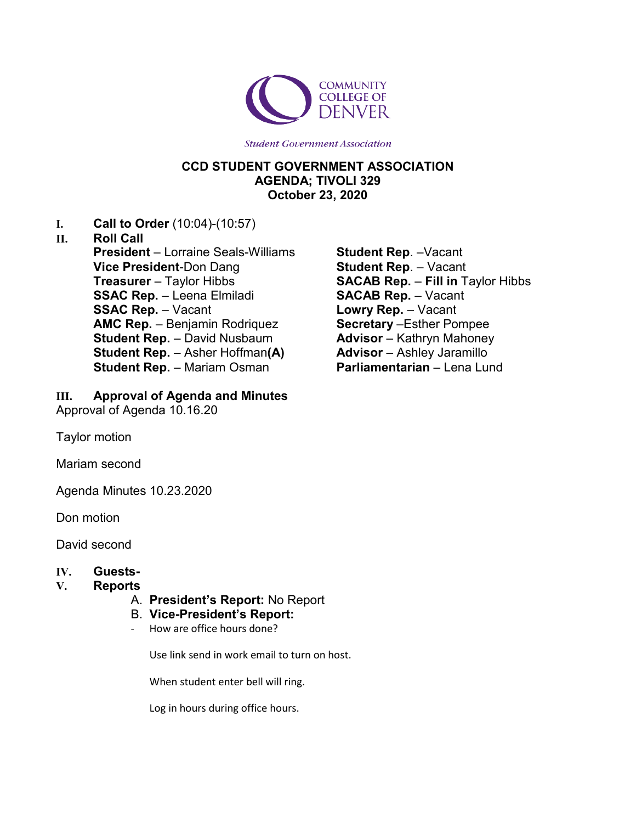

**Student Government Association** 

# **CCD STUDENT GOVERNMENT ASSOCIATION AGENDA; TIVOLI 329 October 23, 2020**

**I. Call to Order** (10:04)-(10:57)

#### **II. Roll Call**

**President** – Lorraine Seals-Williams **Vice President**-Don Dang **Treasurer** – Taylor Hibbs **SSAC Rep.** – Leena Elmiladi **SSAC Rep.** – Vacant **AMC Rep.** – Benjamin Rodriquez **Student Rep.** – David Nusbaum **Student Rep.** – Asher Hoffman**(A) Student Rep.** – Mariam Osman

# **III. Approval of Agenda and Minutes**

Approval of Agenda 10.16.20

Taylor motion

Mariam second

Agenda Minutes 10.23.2020

Don motion

David second

# **IV. Guests-**

# **V. Reports**

A. **President's Report:** No Report

#### B. **Vice-President's Report:**

How are office hours done?

Use link send in work email to turn on host.

When student enter bell will ring.

Log in hours during office hours.

**Student Rep**. –Vacant **Student Rep**. – Vacant **SACAB Rep.** – **Fill in** Taylor Hibbs **SACAB Rep.** – Vacant **Lowry Rep.** – Vacant **Secretary** –Esther Pompee **Advisor** – Kathryn Mahoney **Advisor** – Ashley Jaramillo **Parliamentarian** – Lena Lund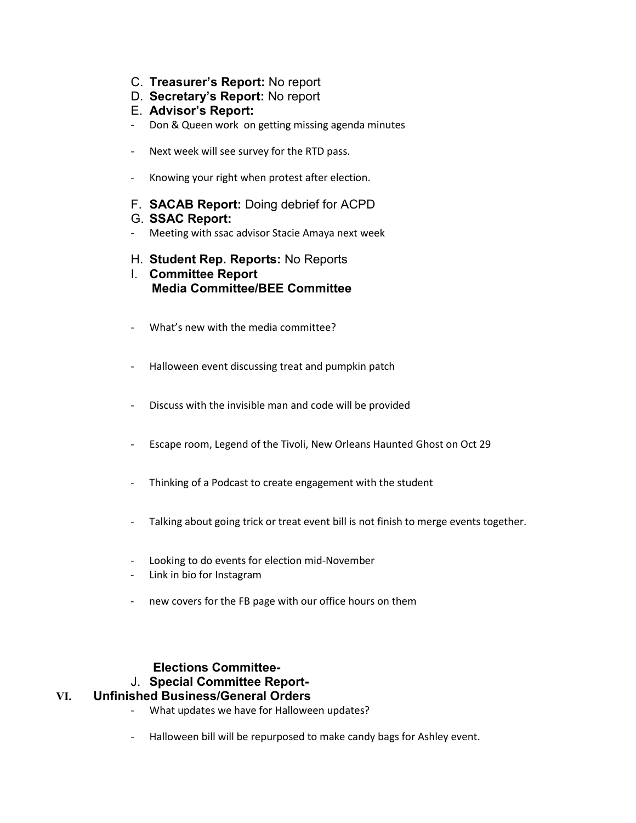- C. **Treasurer's Report:** No report
- D. **Secretary's Report:** No report
- E. **Advisor's Report:**
- Don & Queen work on getting missing agenda minutes
- Next week will see survey for the RTD pass.
- Knowing your right when protest after election.
- F. **SACAB Report:** Doing debrief for ACPD

#### G. **SSAC Report:**

- Meeting with ssac advisor Stacie Amaya next week
- H. **Student Rep. Reports:** No Reports
- I. **Committee Report Media Committee/BEE Committee**
- What's new with the media committee?
- Halloween event discussing treat and pumpkin patch
- Discuss with the invisible man and code will be provided
- Escape room, Legend of the Tivoli, New Orleans Haunted Ghost on Oct 29
- Thinking of a Podcast to create engagement with the student
- Talking about going trick or treat event bill is not finish to merge events together.
- Looking to do events for election mid-November
- Link in bio for Instagram
- new covers for the FB page with our office hours on them

# **Elections Committee-**

#### J. **Special Committee Report-**

# **VI. Unfinished Business/General Orders**

- What updates we have for Halloween updates?
- Halloween bill will be repurposed to make candy bags for Ashley event.